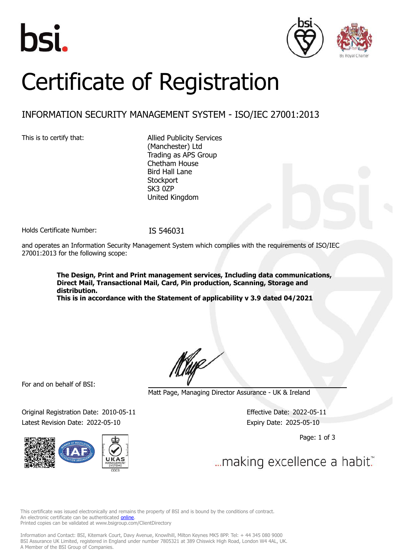





# Certificate of Registration

## INFORMATION SECURITY MANAGEMENT SYSTEM - ISO/IEC 27001:2013

This is to certify that: Allied Publicity Services (Manchester) Ltd Trading as APS Group Chetham House Bird Hall Lane **Stockport** SK3 0ZP United Kingdom

Holds Certificate Number: IS 546031

and operates an Information Security Management System which complies with the requirements of ISO/IEC 27001:2013 for the following scope:

> **The Design, Print and Print management services, Including data communications, Direct Mail, Transactional Mail, Card, Pin production, Scanning, Storage and distribution.**

**This is in accordance with the Statement of applicability v 3.9 dated 04/2021**

For and on behalf of BSI:

Original Registration Date: 2010-05-11 Effective Date: 2022-05-11 Latest Revision Date: 2022-05-10 Expiry Date: 2025-05-10



Matt Page, Managing Director Assurance - UK & Ireland

Page: 1 of 3

... making excellence a habit."

This certificate was issued electronically and remains the property of BSI and is bound by the conditions of contract. An electronic certificate can be authenticated **[online](https://pgplus.bsigroup.com/CertificateValidation/CertificateValidator.aspx?CertificateNumber=IS+546031&ReIssueDate=10%2f05%2f2022&Template=uk)**. Printed copies can be validated at www.bsigroup.com/ClientDirectory

Information and Contact: BSI, Kitemark Court, Davy Avenue, Knowlhill, Milton Keynes MK5 8PP. Tel: + 44 345 080 9000 BSI Assurance UK Limited, registered in England under number 7805321 at 389 Chiswick High Road, London W4 4AL, UK. A Member of the BSI Group of Companies.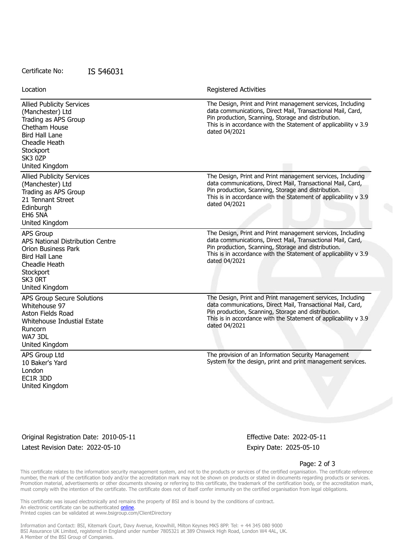#### Certificate No: IS 546031

| Location                                                                                                                                                                   | <b>Registered Activities</b>                                                                                                                                                                                                                                         |
|----------------------------------------------------------------------------------------------------------------------------------------------------------------------------|----------------------------------------------------------------------------------------------------------------------------------------------------------------------------------------------------------------------------------------------------------------------|
| <b>Allied Publicity Services</b><br>(Manchester) Ltd<br>Trading as APS Group<br>Chetham House<br>Bird Hall Lane<br>Cheadle Heath<br>Stockport<br>SK3 0ZP<br>United Kingdom | The Design, Print and Print management services, Including<br>data communications, Direct Mail, Transactional Mail, Card,<br>Pin production, Scanning, Storage and distribution.<br>This is in accordance with the Statement of applicability v 3.9<br>dated 04/2021 |
| <b>Allied Publicity Services</b><br>(Manchester) Ltd<br>Trading as APS Group<br>21 Tennant Street<br>Edinburgh<br>EH6 5NA<br>United Kingdom                                | The Design, Print and Print management services, Including<br>data communications, Direct Mail, Transactional Mail, Card,<br>Pin production, Scanning, Storage and distribution.<br>This is in accordance with the Statement of applicability v 3.9<br>dated 04/2021 |
| <b>APS Group</b><br>APS National Distribution Centre<br><b>Orion Business Park</b><br><b>Bird Hall Lane</b><br>Cheadle Heath<br>Stockport<br>SK3 ORT<br>United Kingdom     | The Design, Print and Print management services, Including<br>data communications, Direct Mail, Transactional Mail, Card,<br>Pin production, Scanning, Storage and distribution.<br>This is in accordance with the Statement of applicability v 3.9<br>dated 04/2021 |
| APS Group Secure Solutions<br>Whitehouse 97<br>Aston Fields Road<br>Whitehouse Industial Estate<br>Runcorn<br>WA7 3DL<br>United Kingdom                                    | The Design, Print and Print management services, Including<br>data communications, Direct Mail, Transactional Mail, Card,<br>Pin production, Scanning, Storage and distribution.<br>This is in accordance with the Statement of applicability v 3.9<br>dated 04/2021 |
| APS Group Ltd<br>10 Baker's Yard<br>London<br>EC1R 3DD<br>United Kingdom                                                                                                   | The provision of an Information Security Management<br>System for the design, print and print management services.                                                                                                                                                   |

Original Registration Date: 2010-05-11 Effective Date: 2022-05-11 Latest Revision Date: 2022-05-10 Expiry Date: 2025-05-10

#### Page: 2 of 3

This certificate relates to the information security management system, and not to the products or services of the certified organisation. The certificate reference number, the mark of the certification body and/or the accreditation mark may not be shown on products or stated in documents regarding products or services. Promotion material, advertisements or other documents showing or referring to this certificate, the trademark of the certification body, or the accreditation mark, must comply with the intention of the certificate. The certificate does not of itself confer immunity on the certified organisation from legal obligations.

This certificate was issued electronically and remains the property of BSI and is bound by the conditions of contract. An electronic certificate can be authenticated **[online](https://pgplus.bsigroup.com/CertificateValidation/CertificateValidator.aspx?CertificateNumber=IS+546031&ReIssueDate=10%2f05%2f2022&Template=uk)**. Printed copies can be validated at www.bsigroup.com/ClientDirectory

Information and Contact: BSI, Kitemark Court, Davy Avenue, Knowlhill, Milton Keynes MK5 8PP. Tel: + 44 345 080 9000 BSI Assurance UK Limited, registered in England under number 7805321 at 389 Chiswick High Road, London W4 4AL, UK. A Member of the BSI Group of Companies.